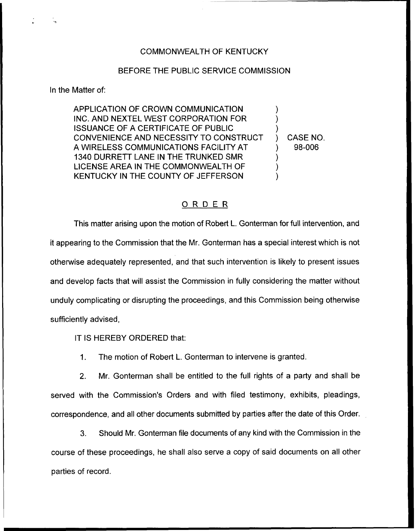### COMMONWEALTH OF KENTUCKY

#### BEFORE THE PUBLIC SERVICE COMMISSION

In the Matter of:

APPLICATION OF CROWN COMMUNICATION INC. AND NEXTEL WEST CORPORATION FOR ISSUANCE OF A CERTIFICATE OF PUBLIC CONVENIENCE AND NECESSITY TO CONSTRUCT A WIRELESS COMMUNICATIONS FACILITY AT 1340 DURRETT LANE IN THE TRUNKED SMR LICENSE AREA IN THE COMMONWEALTH OF KENTUCKY IN THE COUNTY OF JEFFERSON ) ) ) ) CASE NO. ) 98-006 ) ) )

# ORDER

This matter arising upon the motion of Robert L. Gonterman for full intervention, and it appearing to the Commission that the Mr. Gonterman has a special interest which is not otherwise adequately represented, and that such intervention is likely to present issues and develop facts that will assist the Commission in fully considering the matter without unduly complicating or disrupting the proceedings, and this Commission being otherwise sufficiently advised,

IT IS HEREBY ORDERED that:

1. The motion of Robert L. Gonterman to intervene is granted.

2. Mr. Gonterman shall be entitled to the full rights of a party and shall be served with the Commission's Orders and with filed testimony, exhibits, pleadings, correspondence, and all other documents submitted by parties after the date of this Order.

3. Should Mr. Gonterman file documents of any kind with the Commission in the course of these proceedings, he shall also serve a copy of said documents on all other parties of record.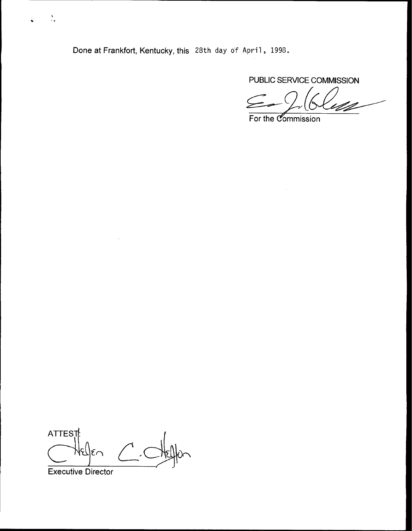Done at Frankfort, Kentucky, this 28th day of April, 1998.

PUBLIC SERVICE COMMISSION

For the *Commission* 

ATTES<sub>I</sub>

Executive Director

 $\frac{1}{2}$ 

Ó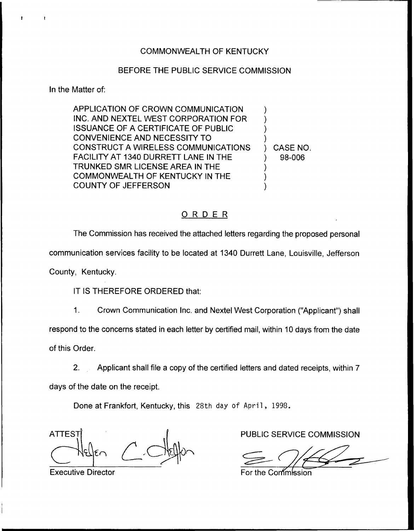## BEFORE THE PUBLIC SERVICE COMMISSION

In the Matter of:

APPLICATION OF CROWN COMMUNICATION INC. AND NEXTEL WEST CORPORATION FOR ISSUANCE OF A CERTIFICATE OF PUBLIC CONVENIENCE AND NECESSITY TO CONSTRUCT A WIRELESS COMMUNICATIONS FACILITY AT 1340 DURRETT LANE IN THE TRUNKED SMR LICENSE AREA IN THE COMMONWEALTH OF KENTUCKY IN THE COUNTY OF JEFFERSON ) ) ) ) ) CASE NO. ) 98-006 ) ) )

## ORDER

The Commission has received the attached letters regarding the proposed personal

communication services facility to be located at 1340 Durrett Lane, Louisville, Jefferson

County, Kentucky.

IT IS THEREFORE ORDERED that:

 $1<sub>1</sub>$ Crown Communication Inc. and Nextel West Corporation ("Applicant") sha respond to the concerns stated in each letter by certified mail, within 10 days from the date of this Order.

2. Applicant shall file a copy of the certified letters and dated receipts, within 7 days of the date on the receipt.

Done at Frankfort, Kentucky, this 28th day of April, 1998.

**ATTES** 

PUBLIC SERVICE COMMISSION

Executive Director **Executive Director For the Contract Executive** Director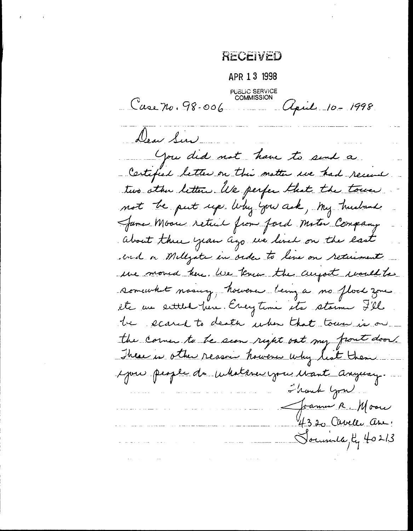RECEIVED

APR 1 3 1998 **PUBLIC SERVICE**<br>COMMISSION Case no. 98-006 Upril 10-1998 Dear Sur  $\mathcal{L}_{\text{max}}$  , and  $\mathcal{L}_{\text{max}}$ You did not have to send a Certified letter on this matter are had recent two other letters. We perfer that the town not be put up Why you ask, My husband James Moon retail from ford Motor Company about three year ago we lived on the last end on Millyate in order to live on returnent we moved here. We knew the aujoit would to somewhat masury, however being a no flock zone etc un entitled fun. Everytime etc stamme 7'el be eased to death when that town is on the corner to be seen right out my front door. These is other reason however why list them you people de culatere you want anyway. Shank Grad. Joannes R. Moore 4320 Cavelle ave Soundle, 4 40213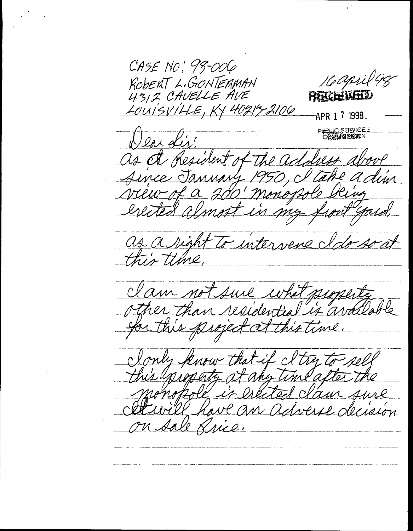CASE NO: 98-006 16 april 98 ROBERT L.GONTERMAN 4312 CAVELLE AVE RECEIVELY LOUISVILLE, KY 40214-2106 APR 1 7 1998. IQ SERVICE.<br>MINISISSION lax d as A Resident -The Aince January tim 200' monogrole view of a almost in my erected yard, as a right to intervene a this time clam not sure what  $M$ don $0$ other than residential is availed for this project at this time. that if I try rell any time alter presents at clam sure He is DARITO will have an adverse decision on sale Rrice.